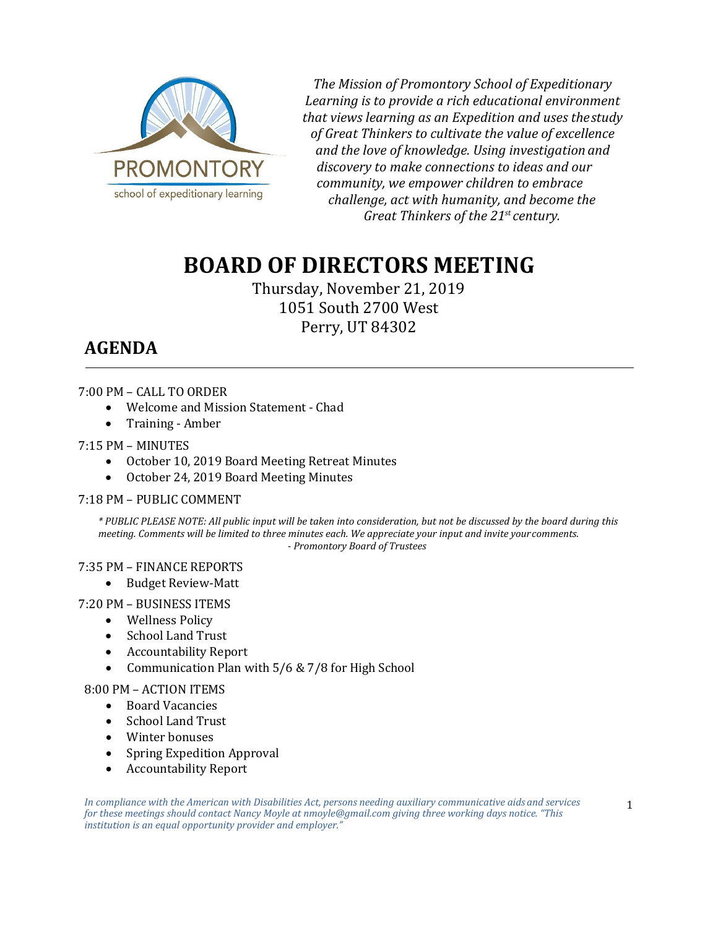

*The Mission of Promontory School of Expeditionary Learning is to provide a rich educational environment that views learning as an Expedition and uses thestudy of Great Thinkers to cultivate the value of excellence and the love of knowledge. Using investigation and discovery to make connections to ideas and our community, we empower children to embrace challenge, act with humanity, and become the Great Thinkers of the 21st century.*

# **BOARD OF DIRECTORS MEETING**

Thursday, November 21, 2019 1051 South 2700 West Perry, UT 84302

## **AGENDA**

#### 7:00 PM – CALL TO ORDER

- Welcome and Mission Statement Chad
- Training Amber

#### 7:15 PM – MINUTES

- October 10, 2019 Board Meeting Retreat Minutes<br>• October 24. 2019 Board Meeting Minutes
- October 24, 2019 Board Meeting Minutes

#### 7:18 PM – PUBLIC COMMENT

*\* PUBLIC PLEASE NOTE: All public input will be taken into consideration, but not be discussed by the board during this meeting. Comments will be limited to three minutes each. We appreciate your input and invite yourcomments. - Promontory Board of Trustees*

#### 7:35 PM – FINANCE REPORTS

• Budget Review-Matt

#### 7:20 PM – BUSINESS ITEMS

- Wellness Policy
- School Land Trust
- Accountability Report
- Communication Plan with 5/6 & 7/8 for High School

#### 8:00 PM – ACTION ITEMS

- Board Vacancies
- School Land Trust
- Winter bonuses
- Spring Expedition Approval
- Accountability Report